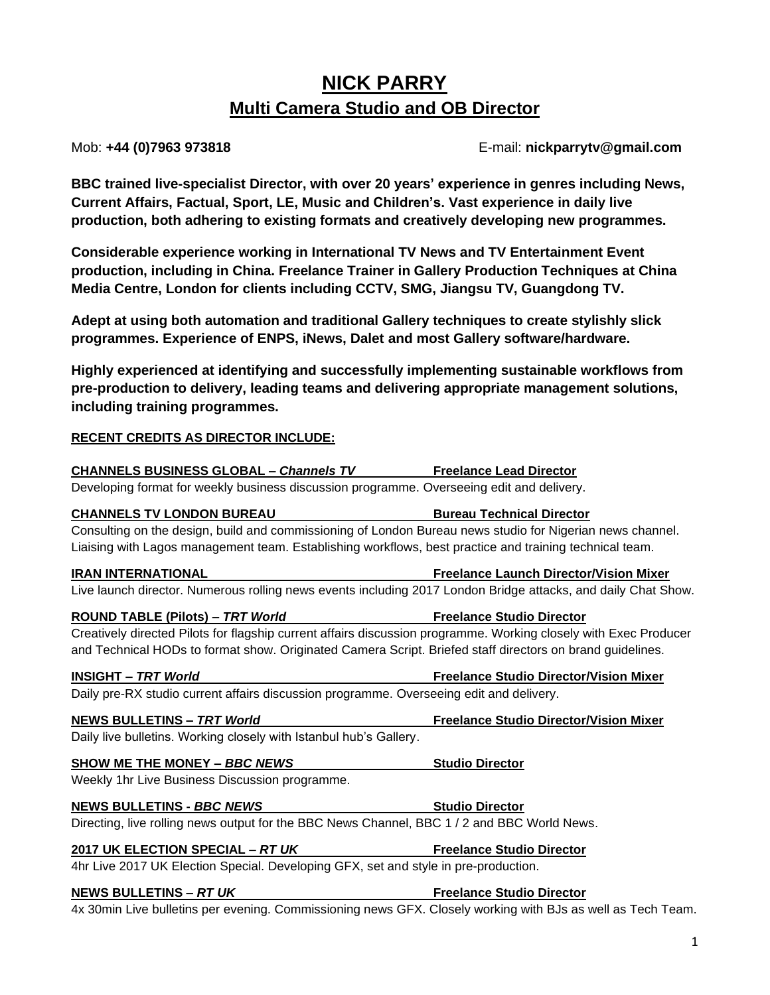# **NICK PARRY Multi Camera Studio and OB Director**

Mob: **+44 (0)7963 973818** E-mail: **nickparrytv@gmail.com**

**BBC trained live-specialist Director, with over 20 years' experience in genres including News, Current Affairs, Factual, Sport, LE, Music and Children's. Vast experience in daily live production, both adhering to existing formats and creatively developing new programmes.**

**Considerable experience working in International TV News and TV Entertainment Event production, including in China. Freelance Trainer in Gallery Production Techniques at China Media Centre, London for clients including CCTV, SMG, Jiangsu TV, Guangdong TV.**

**Adept at using both automation and traditional Gallery techniques to create stylishly slick programmes. Experience of ENPS, iNews, Dalet and most Gallery software/hardware.**

**Highly experienced at identifying and successfully implementing sustainable workflows from pre-production to delivery, leading teams and delivering appropriate management solutions, including training programmes.**

## **RECENT CREDITS AS DIRECTOR INCLUDE:**

| <b>CHANNELS BUSINESS GLOBAL - Channels TV Freelance Lead Director</b>                                            |                                               |
|------------------------------------------------------------------------------------------------------------------|-----------------------------------------------|
| Developing format for weekly business discussion programme. Overseeing edit and delivery.                        |                                               |
| <b>CHANNELS TV LONDON BUREAU</b><br><u> 1990 - Johann Barbara, martin eta politikar</u>                          | <b>Bureau Technical Director</b>              |
| Consulting on the design, build and commissioning of London Bureau news studio for Nigerian news channel.        |                                               |
| Liaising with Lagos management team. Establishing workflows, best practice and training technical team.          |                                               |
| <b>IRAN INTERNATIONAL</b>                                                                                        | <b>Freelance Launch Director/Vision Mixer</b> |
| Live launch director. Numerous rolling news events including 2017 London Bridge attacks, and daily Chat Show.    |                                               |
| <b>ROUND TABLE (Pilots) - TRT World</b>                                                                          | <b>Freelance Studio Director</b>              |
| Creatively directed Pilots for flagship current affairs discussion programme. Working closely with Exec Producer |                                               |
| and Technical HODs to format show. Originated Camera Script. Briefed staff directors on brand guidelines.        |                                               |
| <b>INSIGHT - TRT World</b>                                                                                       | <b>Freelance Studio Director/Vision Mixer</b> |
| Daily pre-RX studio current affairs discussion programme. Overseeing edit and delivery.                          |                                               |
| <b>NEWS BULLETINS - TRT World</b>                                                                                | <b>Freelance Studio Director/Vision Mixer</b> |
| Daily live bulletins. Working closely with Istanbul hub's Gallery.                                               |                                               |
| <b>SHOW ME THE MONEY - BBC NEWS</b>                                                                              | <b>Studio Director</b>                        |
| Weekly 1hr Live Business Discussion programme.                                                                   |                                               |
| <b>NEWS BULLETINS - BBC NEWS</b>                                                                                 | <b>Studio Director</b>                        |
| Directing, live rolling news output for the BBC News Channel, BBC 1/2 and BBC World News.                        |                                               |
| 2017 UK ELECTION SPECIAL - RT UK                                                                                 | <b>Freelance Studio Director</b>              |
| 4hr Live 2017 UK Election Special. Developing GFX, set and style in pre-production.                              |                                               |
| <b>NEWS BULLETINS - RT UK</b><br><u> 1989 - Johann Barn, mars eta bainar eta idazlea (</u>                       | <b>Freelance Studio Director</b>              |
| 4x 30min Live bulletins per evening. Commissioning news GFX. Closely working with BJs as well as Tech Team.      |                                               |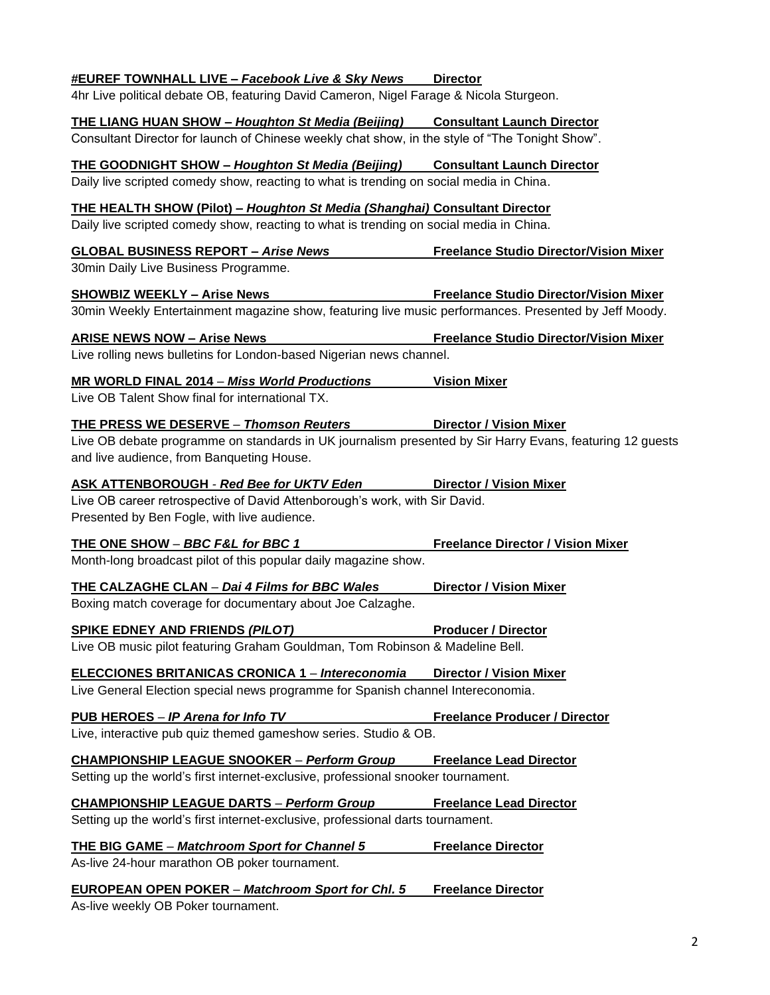| #EUREF TOWNHALL LIVE - Facebook Live & Sky News                                                                                                       | <b>Director</b>                               |
|-------------------------------------------------------------------------------------------------------------------------------------------------------|-----------------------------------------------|
| 4hr Live political debate OB, featuring David Cameron, Nigel Farage & Nicola Sturgeon.                                                                |                                               |
| <b>THE LIANG HUAN SHOW - Houghton St Media (Beijing) Consultant Launch Director</b>                                                                   |                                               |
| Consultant Director for launch of Chinese weekly chat show, in the style of "The Tonight Show".                                                       |                                               |
| <b>THE GOODNIGHT SHOW - Houghton St Media (Beijing) Consultant Launch Director</b>                                                                    |                                               |
| Daily live scripted comedy show, reacting to what is trending on social media in China.                                                               |                                               |
| <b>THE HEALTH SHOW (Pilot) - Houghton St Media (Shanghai) Consultant Director</b>                                                                     |                                               |
| Daily live scripted comedy show, reacting to what is trending on social media in China.                                                               |                                               |
| <b>GLOBAL BUSINESS REPORT - Arise News</b>                                                                                                            | <b>Freelance Studio Director/Vision Mixer</b> |
| 30min Daily Live Business Programme.                                                                                                                  |                                               |
| <b>SHOWBIZ WEEKLY - Arise News</b>                                                                                                                    | <b>Freelance Studio Director/Vision Mixer</b> |
| 30min Weekly Entertainment magazine show, featuring live music performances. Presented by Jeff Moody.                                                 |                                               |
| <b>ARISE NEWS NOW - Arise News</b>                                                                                                                    | <b>Freelance Studio Director/Vision Mixer</b> |
| Live rolling news bulletins for London-based Nigerian news channel.                                                                                   |                                               |
|                                                                                                                                                       |                                               |
| MR WORLD FINAL 2014 - Miss World Productions<br>Live OB Talent Show final for international TX.                                                       | <b>Vision Mixer</b>                           |
|                                                                                                                                                       |                                               |
| <b>THE PRESS WE DESERVE - Thomson Reuters</b>                                                                                                         | <b>Director / Vision Mixer</b>                |
| Live OB debate programme on standards in UK journalism presented by Sir Harry Evans, featuring 12 guests<br>and live audience, from Banqueting House. |                                               |
| ASK ATTENBOROUGH - Red Bee for UKTV Eden Director / Vision Mixer                                                                                      |                                               |
| Live OB career retrospective of David Attenborough's work, with Sir David.                                                                            |                                               |
| Presented by Ben Fogle, with live audience.                                                                                                           |                                               |
| THE ONE SHOW - BBC F&L for BBC 1                                                                                                                      | <b>Freelance Director / Vision Mixer</b>      |
| Month-long broadcast pilot of this popular daily magazine show.                                                                                       |                                               |
| <b>THE CALZAGHE CLAN - Dai 4 Films for BBC Wales</b>                                                                                                  | <b>Director / Vision Mixer</b>                |
| Boxing match coverage for documentary about Joe Calzaghe.                                                                                             |                                               |
| <b>SPIKE EDNEY AND FRIENDS (PILOT)</b><br><b>Example 2 Producer / Director</b>                                                                        |                                               |
| Live OB music pilot featuring Graham Gouldman, Tom Robinson & Madeline Bell.                                                                          |                                               |
| ELECCIONES BRITANICAS CRONICA 1 - Intereconomia                                                                                                       | <b>Director / Vision Mixer</b>                |
| Live General Election special news programme for Spanish channel Intereconomia.                                                                       |                                               |
|                                                                                                                                                       |                                               |
| PUB HEROES - IP Arena for Info TV<br>Live, interactive pub quiz themed gameshow series. Studio & OB.                                                  | <b>Freelance Producer / Director</b>          |
|                                                                                                                                                       |                                               |
| <b>CHAMPIONSHIP LEAGUE SNOOKER - Perform Group Freelance Lead Director</b>                                                                            |                                               |
| Setting up the world's first internet-exclusive, professional snooker tournament.                                                                     |                                               |
| <b>CHAMPIONSHIP LEAGUE DARTS - Perform Group</b>                                                                                                      | <b>Freelance Lead Director</b>                |
| Setting up the world's first internet-exclusive, professional darts tournament.                                                                       |                                               |
| <b>THE BIG GAME - Matchroom Sport for Channel 5</b>                                                                                                   | <b>Freelance Director</b>                     |
| As-live 24-hour marathon OB poker tournament.                                                                                                         |                                               |
| <b>EUROPEAN OPEN POKER - Matchroom Sport for Chl. 5</b>                                                                                               | <b>Freelance Director</b>                     |
| As-live weekly OB Poker tournament.                                                                                                                   |                                               |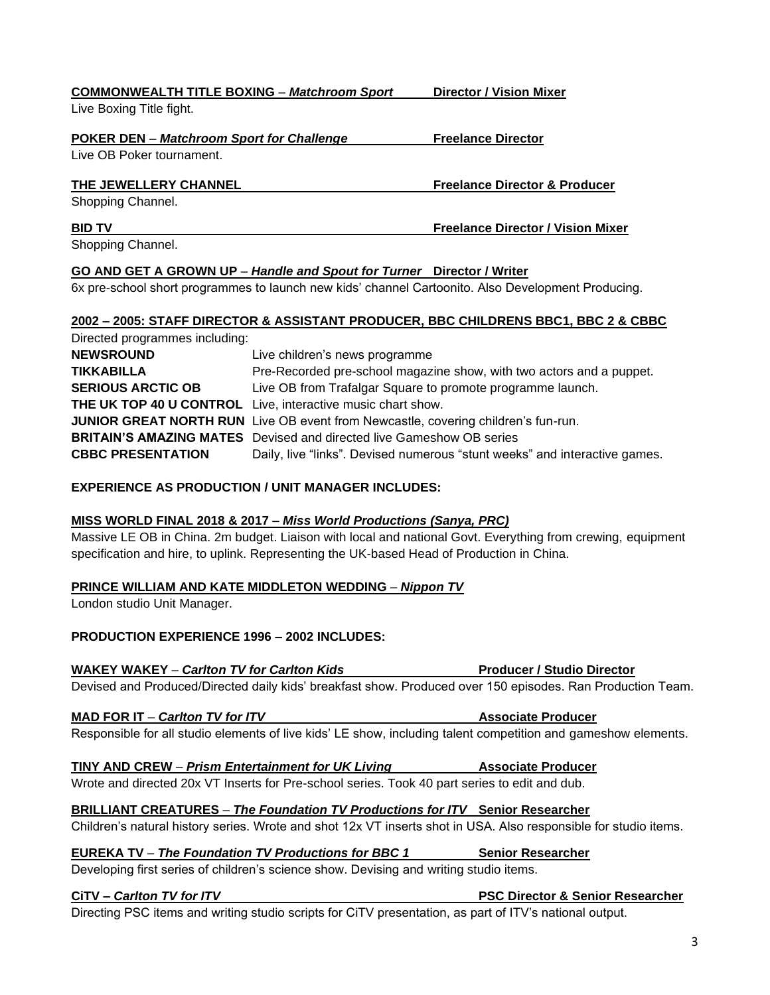3

| Live Boxing Title fight.                                                      |                                          |
|-------------------------------------------------------------------------------|------------------------------------------|
| <b>POKER DEN – Matchroom Sport for Challenge</b><br>Live OB Poker tournament. | <b>Freelance Director</b>                |
| THE JEWELLERY CHANNEL<br>Shopping Channel.                                    | <b>Freelance Director &amp; Producer</b> |
| <b>BID TV</b><br>$\sim$ $\sim$ $\sim$ $\sim$ $\sim$                           | <b>Freelance Director / Vision Mixer</b> |

**COMMONWEALTH TITLE BOXING** – *Matchroom Sport* **Director / Vision Mixer**

Shopping Channel.

## **GO AND GET A GROWN UP** *– Handle and Spout for Turner* **Director / Writer**

6x pre-school short programmes to launch new kids' channel Cartoonito. Also Development Producing.

# **2002 – 2005: STAFF DIRECTOR & ASSISTANT PRODUCER, BBC CHILDRENS BBC1, BBC 2 & CBBC**

| Directed programmes including: |                                                                                   |
|--------------------------------|-----------------------------------------------------------------------------------|
| <b>NEWSROUND</b>               | Live children's news programme                                                    |
| <b>TIKKABILLA</b>              | Pre-Recorded pre-school magazine show, with two actors and a puppet.              |
| <b>SERIOUS ARCTIC OB</b>       | Live OB from Trafalgar Square to promote programme launch.                        |
|                                | <b>THE UK TOP 40 U CONTROL</b> Live, interactive music chart show.                |
|                                | JUNIOR GREAT NORTH RUN Live OB event from Newcastle, covering children's fun-run. |
|                                | <b>BRITAIN'S AMAZING MATES</b> Devised and directed live Gameshow OB series       |
| <b>CBBC PRESENTATION</b>       | Daily, live "links". Devised numerous "stunt weeks" and interactive games.        |

## **EXPERIENCE AS PRODUCTION / UNIT MANAGER INCLUDES:**

## **MISS WORLD FINAL 2018 & 2017 –** *Miss World Productions (Sanya, PRC)*

Massive LE OB in China. 2m budget. Liaison with local and national Govt. Everything from crewing, equipment specification and hire, to uplink. Representing the UK-based Head of Production in China.

# **PRINCE WILLIAM AND KATE MIDDLETON WEDDING** – *Nippon TV*

London studio Unit Manager.

# **PRODUCTION EXPERIENCE 1996 – 2002 INCLUDES:**

# **WAKEY WAKEY** – *Carlton TV for Carlton Kids* **Producer / Studio Director**

Devised and Produced/Directed daily kids' breakfast show. Produced over 150 episodes. Ran Production Team.

# **MAD FOR IT** – *Carlton TV for ITV* **Associate Producer**

Responsible for all studio elements of live kids' LE show, including talent competition and gameshow elements.

## **TINY AND CREW** – *Prism Entertainment for UK Living* **Associate Producer**

Wrote and directed 20x VT Inserts for Pre-school series. Took 40 part series to edit and dub.

## **BRILLIANT CREATURES** *– The Foundation TV Productions for ITV* **Senior Researcher**

Children's natural history series. Wrote and shot 12x VT inserts shot in USA. Also responsible for studio items.

# **EUREKA TV** *– The Foundation TV Productions for BBC 1* **Senior Researcher**

Developing first series of children's science show. Devising and writing studio items.

**CiTV** *– Carlton TV for ITV* **PSC Director & Senior Researcher**

Directing PSC items and writing studio scripts for CiTV presentation, as part of ITV's national output.